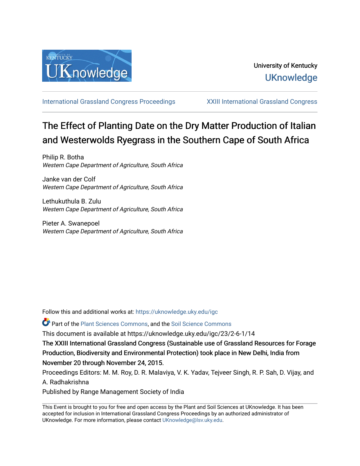

[International Grassland Congress Proceedings](https://uknowledge.uky.edu/igc) [XXIII International Grassland Congress](https://uknowledge.uky.edu/igc/23) 

# The Effect of Planting Date on the Dry Matter Production of Italian and Westerwolds Ryegrass in the Southern Cape of South Africa

Philip R. Botha Western Cape Department of Agriculture, South Africa

Janke van der Colf Western Cape Department of Agriculture, South Africa

Lethukuthula B. Zulu Western Cape Department of Agriculture, South Africa

Pieter A. Swanepoel Western Cape Department of Agriculture, South Africa

Follow this and additional works at: [https://uknowledge.uky.edu/igc](https://uknowledge.uky.edu/igc?utm_source=uknowledge.uky.edu%2Figc%2F23%2F2-6-1%2F14&utm_medium=PDF&utm_campaign=PDFCoverPages) 

**P** Part of the [Plant Sciences Commons](http://network.bepress.com/hgg/discipline/102?utm_source=uknowledge.uky.edu%2Figc%2F23%2F2-6-1%2F14&utm_medium=PDF&utm_campaign=PDFCoverPages), and the Soil Science Commons

This document is available at https://uknowledge.uky.edu/igc/23/2-6-1/14

The XXIII International Grassland Congress (Sustainable use of Grassland Resources for Forage Production, Biodiversity and Environmental Protection) took place in New Delhi, India from November 20 through November 24, 2015.

Proceedings Editors: M. M. Roy, D. R. Malaviya, V. K. Yadav, Tejveer Singh, R. P. Sah, D. Vijay, and A. Radhakrishna

Published by Range Management Society of India

This Event is brought to you for free and open access by the Plant and Soil Sciences at UKnowledge. It has been accepted for inclusion in International Grassland Congress Proceedings by an authorized administrator of UKnowledge. For more information, please contact [UKnowledge@lsv.uky.edu](mailto:UKnowledge@lsv.uky.edu).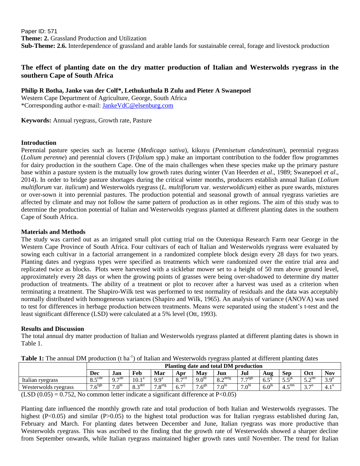Paper ID: 571 **Theme: 2.** Grassland Production and Utilization **Sub-Theme: 2.6.** Interdependence of grassland and arable lands for sustainable cereal, forage and livestock production

# **The effect of planting date on the dry matter production of Italian and Westerwolds ryegrass in the southern Cape of South Africa**

**Philip R Botha, Janke van der Colf\*, Lethukuthula B Zulu and Pieter A Swanepoel** Western Cape Department of Agriculture, George, South Africa \*Corresponding author e-mail: [JankeVdC@elsenburg.com](mailto:JankeVdC@elsenburg.com)

**Keywords:** Annual ryegrass, Growth rate, Pasture

### **Introduction**

Perennial pasture species such as lucerne (*Medicago sativa*), kikuyu (*Pennisetum clandestinum*), perennial ryegrass (*Lolium perenne*) and perennial clovers (*Trifolium* spp.) make an important contribution to the fodder flow programmes for dairy production in the southern Cape. One of the main challenges when these species make up the primary pasture base within a pasture system is the mutually low growth rates during winter (Van Heerden *et al*., 1989; Swanepoel *et al*., 2014). In order to bridge pasture shortages during the critical winter months, producers establish annual Italian (*Lolium multiflorum* var. *italicum*) and Westerwolds ryegrass (*L. multiflorum* var. *westerwoldicum*) either as pure swards, mixtures or over-sown it into perennial pastures. The production potential and seasonal growth of annual ryegrass varieties are affected by climate and may not follow the same pattern of production as in other regions. The aim of this study was to determine the production potential of Italian and Westerwolds ryegrass planted at different planting dates in the southern Cape of South Africa.

#### **Materials and Methods**

The study was carried out as an irrigated small plot cutting trial on the Outeniqua Research Farm near George in the Western Cape Province of South Africa. Four cultivars of each of Italian and Westerwolds ryegrass were evaluated by sowing each cultivar in a factorial arrangement in a randomized complete block design every 28 days for two years. Planting dates and ryegrass types were specified as treatments which were randomized over the entire trial area and replicated twice as blocks. Plots were harvested with a sicklebar mower set to a height of 50 mm above ground level, approximately every 28 days or when the growing points of grasses were being over-shadowed to determine dry matter production of treatments. The ability of a treatment or plot to recover after a harvest was used as a criterion when terminating a treatment. The Shapiro-Wilk test was performed to test normality of residuals and the data was acceptably normally distributed with homogeneous variances (Shapiro and Wilk, 1965). An analysis of variance (ANOVA) was used to test for differences in herbage production between treatments. Means were separated using the student's t-test and the least significant difference (LSD) were calculated at a 5% level (Ott, 1993).

#### **Results and Discussion**

The total annual dry matter production of Italian and Westerwolds ryegrass planted at different planting dates is shown in Table 1.

| Table 1. The annual Divi broughout it has | <u>UI Rahan ang 11 Coler wulat i vellato bianteli at uniforent biantine dalet</u> |                      |                     |                       |                                      |                   |                     |                   |                  |            |                    |                  |
|-------------------------------------------|-----------------------------------------------------------------------------------|----------------------|---------------------|-----------------------|--------------------------------------|-------------------|---------------------|-------------------|------------------|------------|--------------------|------------------|
|                                           | Planting date and total DM production                                             |                      |                     |                       |                                      |                   |                     |                   |                  |            |                    |                  |
|                                           | Dec                                                                               | Jan                  | Feb                 | Mar                   | Apr                                  | Mav               | Jun                 | Jul               | Aug              | Sep        | Oct                | Nov              |
| Italian ryegrass                          | $\circ$ $\in$ cde<br>$\circ$ .                                                    | $\sim$ $\neg$ ab     | 10.1 <sup>a</sup>   | 9.9 <sup>a</sup>      | $Q \tau$ $\tau$ cd<br>$\mathbf{O}$ . | 9.0 <sup>bc</sup> | 8.2 <sup>defg</sup> | $7 \tau$          | $6.5^{\rm U}$    | $5 \leq K$ | $\sim$ lm<br>ے ، ب | 3.9 <sup>n</sup> |
| Westerwolds ryegrass                      | $6^{\text{fgh}}$                                                                  | $\Omega^{\text{nl}}$ | $\gamma$ def<br>O.L | $7$ oetg<br>$\cdot$ C | $6.7^{ij}$                           | $7.6^{gh}$        | 7.0 <sup>h</sup>    | 7.0 <sup>th</sup> | 6.0 <sup>1</sup> | $-mn$      | $2 \pi n$<br>J.,   | 4.1              |

Table 1: The annual DM production (t ha<sup>-1</sup>) of Italian and Westerwolds ryegrass planted at different planting dates

 $(LSD (0.05) = 0.752$ , No common letter indicate a significant difference at P<0.05)

Planting date influenced the monthly growth rate and total production of both Italian and Westerwolds ryegrasses. The highest (P<0.05) and similar (P>0.05) to the highest total production was for Italian ryegrass established during Jan, February and March. For planting dates between December and June, Italian ryegrass was more productive than Westerwolds ryegrass. This was ascribed to the finding that the growth rate of Westerwolds showed a sharper decline from September onwards, while Italian ryegrass maintained higher growth rates until November. The trend for Italian